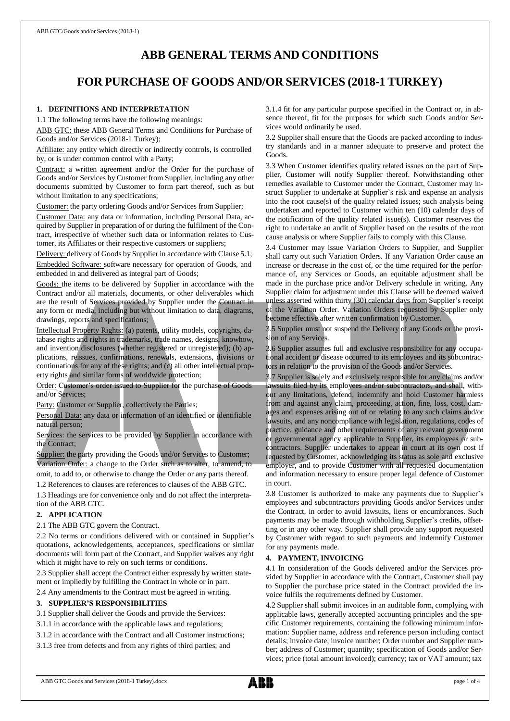# **ABB GENERAL TERMS AND CONDITIONS**

# **FOR PURCHASE OF GOODS AND/OR SERVICES (2018-1 TURKEY)**

# **1. DEFINITIONS AND INTERPRETATION**

1.1 The following terms have the following meanings:

ABB GTC: these ABB General Terms and Conditions for Purchase of Goods and/or Services (2018-1 Turkey);

Affiliate: any entity which directly or indirectly controls, is controlled by, or is under common control with a Party;

Contract: a written agreement and/or the Order for the purchase of Goods and/or Services by Customer from Supplier, including any other documents submitted by Customer to form part thereof, such as but without limitation to any specifications;

Customer: the party ordering Goods and/or Services from Supplier;

Customer Data: any data or information, including Personal Data, acquired by Supplier in preparation of or during the fulfilment of the Contract, irrespective of whether such data or information relates to Customer, its Affiliates or their respective customers or suppliers;

Delivery: delivery of Goods by Supplier in accordance with Clause 5.1; Embedded Software: software necessary for operation of Goods, and embedded in and delivered as integral part of Goods;

Goods: the items to be delivered by Supplier in accordance with the Contract and/or all materials, documents, or other deliverables which are the result of Services provided by Supplier under the Contract in any form or media, including but without limitation to data, diagrams, drawings, reports and specifications;

Intellectual Property Rights: (a) patents, utility models, copyrights, database rights and rights in trademarks, trade names, designs, knowhow, and invention disclosures (whether registered or unregistered); (b) applications, reissues, confirmations, renewals, extensions, divisions or continuations for any of these rights; and (c) all other intellectual property rights and similar forms of worldwide protection;

Order: Customer's order issued to Supplier for the purchase of Goods and/or Services;

Party: Customer or Supplier, collectively the Parties;

Personal Data: any data or information of an identified or identifiable natural person;

Services: the services to be provided by Supplier in accordance with the Contract;

Supplier: the party providing the Goods and/or Services to Customer; Variation Order: a change to the Order such as to alter, to amend, to omit, to add to, or otherwise to change the Order or any parts thereof.

1.2 References to clauses are references to clauses of the ABB GTC.

1.3 Headings are for convenience only and do not affect the interpretation of the ABB GTC.

#### **2. APPLICATION**

2.1 The ABB GTC govern the Contract.

2.2 No terms or conditions delivered with or contained in Supplier's quotations, acknowledgements, acceptances, specifications or similar documents will form part of the Contract, and Supplier waives any right which it might have to rely on such terms or conditions.

2.3 Supplier shall accept the Contract either expressly by written statement or impliedly by fulfilling the Contract in whole or in part.

2.4 Any amendments to the Contract must be agreed in writing.

# **3. SUPPLIER'S RESPONSIBILITIES**

3.1 Supplier shall deliver the Goods and provide the Services:

3.1.1 in accordance with the applicable laws and regulations;

3.1.2 in accordance with the Contract and all Customer instructions;

3.1.3 free from defects and from any rights of third parties; and

3.1.4 fit for any particular purpose specified in the Contract or, in absence thereof, fit for the purposes for which such Goods and/or Services would ordinarily be used.

3.2 Supplier shall ensure that the Goods are packed according to industry standards and in a manner adequate to preserve and protect the Goods.

3.3 When Customer identifies quality related issues on the part of Supplier, Customer will notify Supplier thereof. Notwithstanding other remedies available to Customer under the Contract, Customer may instruct Supplier to undertake at Supplier's risk and expense an analysis into the root cause(s) of the quality related issues; such analysis being undertaken and reported to Customer within ten (10) calendar days of the notification of the quality related issue(s). Customer reserves the right to undertake an audit of Supplier based on the results of the root cause analysis or where Supplier fails to comply with this Clause.

3.4 Customer may issue Variation Orders to Supplier, and Supplier shall carry out such Variation Orders. If any Variation Order cause an increase or decrease in the cost of, or the time required for the performance of, any Services or Goods, an equitable adjustment shall be made in the purchase price and/or Delivery schedule in writing. Any Supplier claim for adjustment under this Clause will be deemed waived unless asserted within thirty (30) calendar days from Supplier's receipt of the Variation Order. Variation Orders requested by Supplier only become effective after written confirmation by Customer.

3.5 Supplier must not suspend the Delivery of any Goods or the provision of any Services.

3.6 Supplier assumes full and exclusive responsibility for any occupational accident or disease occurred to its employees and its subcontractors in relation to the provision of the Goods and/or Services.

3.7 Supplier is solely and exclusively responsible for any claims and/or lawsuits filed by its employees and/or subcontractors, and shall, without any limitations, defend, indemnify and hold Customer harmless from and against any claim, proceeding, action, fine, loss, cost, damages and expenses arising out of or relating to any such claims and/or lawsuits, and any noncompliance with legislation, regulations, codes of practice, guidance and other requirements of any relevant government or governmental agency applicable to Supplier, its employees or subcontractors. Supplier undertakes to appear in court at its own cost if requested by Customer, acknowledging its status as sole and exclusive employer, and to provide Customer with all requested documentation and information necessary to ensure proper legal defence of Customer in court.

3.8 Customer is authorized to make any payments due to Supplier's employees and subcontractors providing Goods and/or Services under the Contract, in order to avoid lawsuits, liens or encumbrances. Such payments may be made through withholding Supplier's credits, offsetting or in any other way. Supplier shall provide any support requested by Customer with regard to such payments and indemnify Customer for any payments made.

### **4. PAYMENT, INVOICING**

4.1 In consideration of the Goods delivered and/or the Services provided by Supplier in accordance with the Contract, Customer shall pay to Supplier the purchase price stated in the Contract provided the invoice fulfils the requirements defined by Customer.

4.2 Supplier shall submit invoices in an auditable form, complying with applicable laws, generally accepted accounting principles and the specific Customer requirements, containing the following minimum information: Supplier name, address and reference person including contact details; invoice date; invoice number; Order number and Supplier number; address of Customer; quantity; specification of Goods and/or Services; price (total amount invoiced); currency; tax or VAT amount; tax

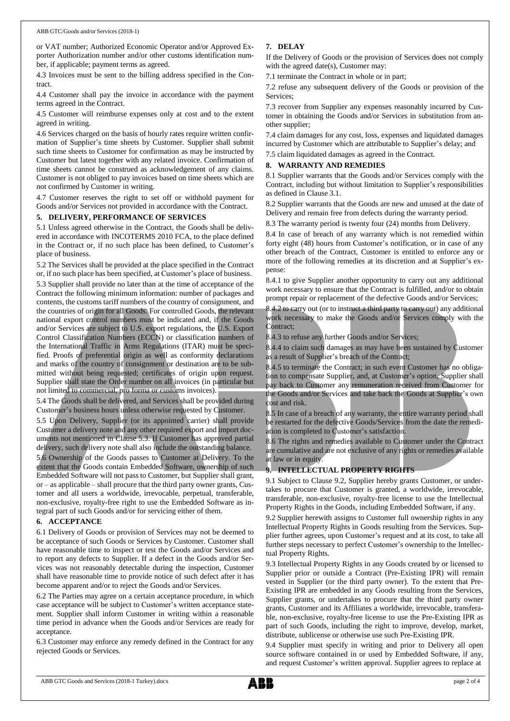or VAT number; Authorized Economic Operator and/or Approved Exporter Authorization number and/or other customs identification number, if applicable; payment terms as agreed.

4.3 Invoices must be sent to the billing address specified in the Contract.

4.4 Customer shall pay the invoice in accordance with the payment terms agreed in the Contract.

4.5 Customer will reimburse expenses only at cost and to the extent agreed in writing.

4.6 Services charged on the basis of hourly rates require written confirmation of Supplier's time sheets by Customer. Supplier shall submit such time sheets to Customer for confirmation as may be instructed by Customer but latest together with any related invoice. Confirmation of time sheets cannot be construed as acknowledgement of any claims. Customer is not obliged to pay invoices based on time sheets which are not confirmed by Customer in writing.

4.7 Customer reserves the right to set off or withhold payment for Goods and/or Services not provided in accordance with the Contract.

#### **5. DELIVERY, PERFORMANCE OF SERVICES**

5.1 Unless agreed otherwise in the Contract, the Goods shall be delivered in accordance with INCOTERMS 2010 FCA, to the place defined in the Contract or, if no such place has been defined, to Customer's place of business.

5.2 The Services shall be provided at the place specified in the Contract or, if no such place has been specified, at Customer's place of business.

5.3 Supplier shall provide no later than at the time of acceptance of the Contract the following minimum information: number of packages and contents, the customs tariff numbers of the country of consignment, and the countries of origin for all Goods. For controlled Goods, the relevant national export control numbers must be indicated and, if the Goods and/or Services are subject to U.S. export regulations, the U.S. Export Control Classification Numbers (ECCN) or classification numbers of the International Traffic in Arms Regulations (ITAR) must be specified. Proofs of preferential origin as well as conformity declarations and marks of the country of consignment or destination are to be submitted without being requested; certificates of origin upon request. Supplier shall state the Order number on all invoices (in particular but not limited to commercial, pro forma or customs invoices).

5.4 The Goods shall be delivered, and Services shall be provided during Customer's business hours unless otherwise requested by Customer.

5.5 Upon Delivery, Supplier (or its appointed carrier) shall provide Customer a delivery note and any other required export and import documents not mentioned in Clause 5.3. If Customer has approved partial delivery, such delivery note shall also include the outstanding balance.

5.6 Ownership of the Goods passes to Customer at Delivery. To the extent that the Goods contain Embedded Software, ownership of such Embedded Software will not pass to Customer, but Supplier shall grant, or – as applicable – shall procure that the third party owner grants, Customer and all users a worldwide, irrevocable, perpetual, transferable, non-exclusive, royalty-free right to use the Embedded Software as integral part of such Goods and/or for servicing either of them.

#### **6. ACCEPTANCE**

6.1 Delivery of Goods or provision of Services may not be deemed to be acceptance of such Goods or Services by Customer. Customer shall have reasonable time to inspect or test the Goods and/or Services and to report any defects to Supplier. If a defect in the Goods and/or Services was not reasonably detectable during the inspection, Customer shall have reasonable time to provide notice of such defect after it has become apparent and/or to reject the Goods and/or Services.

6.2 The Parties may agree on a certain acceptance procedure, in which case acceptance will be subject to Customer's written acceptance statement. Supplier shall inform Customer in writing within a reasonable time period in advance when the Goods and/or Services are ready for acceptance.

6.3 Customer may enforce any remedy defined in the Contract for any rejected Goods or Services.

## **7. DELAY**

If the Delivery of Goods or the provision of Services does not comply with the agreed date(s), Customer may:

7.1 terminate the Contract in whole or in part;

7.2 refuse any subsequent delivery of the Goods or provision of the Services;

7.3 recover from Supplier any expenses reasonably incurred by Customer in obtaining the Goods and/or Services in substitution from another supplier;

7.4 claim damages for any cost, loss, expenses and liquidated damages incurred by Customer which are attributable to Supplier's delay; and

7.5 claim liquidated damages as agreed in the Contract.

## **8. WARRANTY AND REMEDIES**

8.1 Supplier warrants that the Goods and/or Services comply with the Contract, including but without limitation to Supplier's responsibilities as defined in Clause 3.1.

8.2 Supplier warrants that the Goods are new and unused at the date of Delivery and remain free from defects during the warranty period.

8.3 The warranty period is twenty four (24) months from Delivery.

8.4 In case of breach of any warranty which is not remedied within forty eight (48) hours from Customer's notification, or in case of any other breach of the Contract, Customer is entitled to enforce any or more of the following remedies at its discretion and at Supplier's expense:

8.4.1 to give Supplier another opportunity to carry out any additional work necessary to ensure that the Contract is fulfilled, and/or to obtain prompt repair or replacement of the defective Goods and/or Services;

8.4.2 to carry out (or to instruct a third party to carry out) any additional work necessary to make the Goods and/or Services comply with the Contract;

8.4.3 to refuse any further Goods and/or Services;

8.4.4 to claim such damages as may have been sustained by Customer as a result of Supplier's breach of the Contract;

8.4.5 to terminate the Contract; in such event Customer has no obligation to compensate Supplier, and, at Customer's option, Supplier shall pay back to Customer any remuneration received from Customer for the Goods and/or Services and take back the Goods at Supplier's own cost and risk.

8.5 In case of a breach of any warranty, the entire warranty period shall be restarted for the defective Goods/Services from the date the remediation is completed to Customer's satisfaction.

8.6 The rights and remedies available to Customer under the Contract are cumulative and are not exclusive of any rights or remedies available at law or in equity.

#### **9. INTELLECTUAL PROPERTY RIGHTS**

9.1 Subject to Clause 9.2, Supplier hereby grants Customer, or undertakes to procure that Customer is granted, a worldwide, irrevocable, transferable, non-exclusive, royalty-free license to use the Intellectual Property Rights in the Goods, including Embedded Software, if any.

9.2 Supplier herewith assigns to Customer full ownership rights in any Intellectual Property Rights in Goods resulting from the Services. Supplier further agrees, upon Customer's request and at its cost, to take all further steps necessary to perfect Customer's ownership to the Intellectual Property Rights.

9.3 Intellectual Property Rights in any Goods created by or licensed to Supplier prior or outside a Contract (Pre-Existing IPR) will remain vested in Supplier (or the third party owner). To the extent that Pre-Existing IPR are embedded in any Goods resulting from the Services, Supplier grants, or undertakes to procure that the third party owner grants, Customer and its Affiliates a worldwide, irrevocable, transferable, non-exclusive, royalty-free license to use the Pre-Existing IPR as part of such Goods, including the right to improve, develop, market, distribute, sublicense or otherwise use such Pre-Existing IPR.

9.4 Supplier must specify in writing and prior to Delivery all open source software contained in or used by Embedded Software, if any, and request Customer's written approval. Supplier agrees to replace at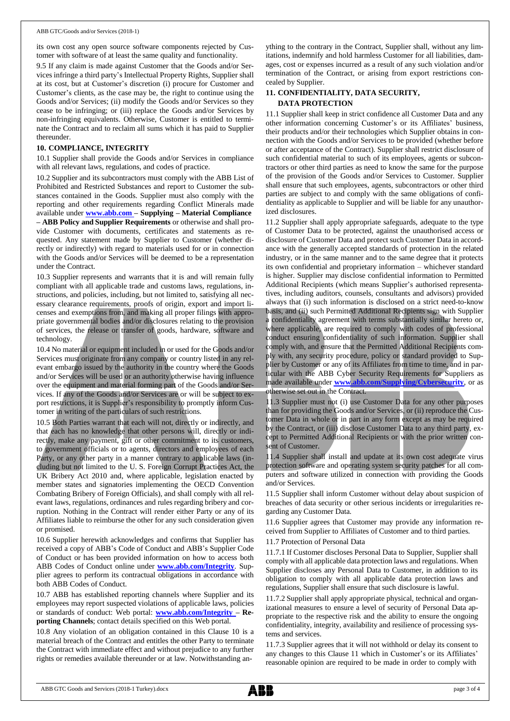its own cost any open source software components rejected by Customer with software of at least the same quality and functionality.

9.5 If any claim is made against Customer that the Goods and/or Services infringe a third party's Intellectual Property Rights, Supplier shall at its cost, but at Customer's discretion (i) procure for Customer and Customer's clients, as the case may be, the right to continue using the Goods and/or Services; (ii) modify the Goods and/or Services so they cease to be infringing; or (iii) replace the Goods and/or Services by non-infringing equivalents. Otherwise, Customer is entitled to terminate the Contract and to reclaim all sums which it has paid to Supplier thereunder.

#### **10. COMPLIANCE, INTEGRITY**

10.1 Supplier shall provide the Goods and/or Services in compliance with all relevant laws, regulations, and codes of practice.

10.2 Supplier and its subcontractors must comply with the ABB List of Prohibited and Restricted Substances and report to Customer the substances contained in the Goods. Supplier must also comply with the reporting and other requirements regarding Conflict Minerals made available under **[www.abb.com](http://www.abb.com/) – Supplying – Material Compliance – ABB Policy and Supplier Requirements** or otherwise and shall provide Customer with documents, certificates and statements as requested. Any statement made by Supplier to Customer (whether directly or indirectly) with regard to materials used for or in connection with the Goods and/or Services will be deemed to be a representation under the Contract.

10.3 Supplier represents and warrants that it is and will remain fully compliant with all applicable trade and customs laws, regulations, instructions, and policies, including, but not limited to, satisfying all necessary clearance requirements, proofs of origin, export and import licenses and exemptions from, and making all proper filings with appropriate governmental bodies and/or disclosures relating to the provision of services, the release or transfer of goods, hardware, software and technology.

10.4 No material or equipment included in or used for the Goods and/or Services must originate from any company or country listed in any relevant embargo issued by the authority in the country where the Goods and/or Services will be used or an authority otherwise having influence over the equipment and material forming part of the Goods and/or Services. If any of the Goods and/or Services are or will be subject to export restrictions, it is Supplier's responsibility to promptly inform Customer in writing of the particulars of such restrictions.

10.5 Both Parties warrant that each will not, directly or indirectly, and that each has no knowledge that other persons will, directly or indirectly, make any payment, gift or other commitment to its customers, to government officials or to agents, directors and employees of each Party, or any other party in a manner contrary to applicable laws (including but not limited to the U. S. Foreign Corrupt Practices Act, the UK Bribery Act 2010 and, where applicable, legislation enacted by member states and signatories implementing the OECD Convention Combating Bribery of Foreign Officials), and shall comply with all relevant laws, regulations, ordinances and rules regarding bribery and corruption. Nothing in the Contract will render either Party or any of its Affiliates liable to reimburse the other for any such consideration given or promised.

10.6 Supplier herewith acknowledges and confirms that Supplier has received a copy of ABB's Code of Conduct and ABB's Supplier Code of Conduct or has been provided information on how to access both ABB Codes of Conduct online under **[www.abb.com/Integrity](http://www.abb.com/Integrity)**. Supplier agrees to perform its contractual obligations in accordance with both ABB Codes of Conduct.

10.7 ABB has established reporting channels where Supplier and its employees may report suspected violations of applicable laws, policies or standards of conduct: Web portal: **[www.abb.com/Integrity](http://www.abb.com/Integrity) – Reporting Channels**; contact details specified on this Web portal.

10.8 Any violation of an obligation contained in this Clause 10 is a material breach of the Contract and entitles the other Party to terminate the Contract with immediate effect and without prejudice to any further rights or remedies available thereunder or at law. Notwithstanding anything to the contrary in the Contract, Supplier shall, without any limitations, indemnify and hold harmless Customer for all liabilities, damages, cost or expenses incurred as a result of any such violation and/or termination of the Contract, or arising from export restrictions concealed by Supplier.

## **11. CONFIDENTIALITY, DATA SECURITY, DATA PROTECTION**

11.1 Supplier shall keep in strict confidence all Customer Data and any other information concerning Customer's or its Affiliates' business, their products and/or their technologies which Supplier obtains in connection with the Goods and/or Services to be provided (whether before or after acceptance of the Contract). Supplier shall restrict disclosure of such confidential material to such of its employees, agents or subcontractors or other third parties as need to know the same for the purpose of the provision of the Goods and/or Services to Customer. Supplier shall ensure that such employees, agents, subcontractors or other third parties are subject to and comply with the same obligations of confidentiality as applicable to Supplier and will be liable for any unauthorized disclosures.

11.2 Supplier shall apply appropriate safeguards, adequate to the type of Customer Data to be protected, against the unauthorised access or disclosure of Customer Data and protect such Customer Data in accordance with the generally accepted standards of protection in the related industry, or in the same manner and to the same degree that it protects its own confidential and proprietary information – whichever standard is higher. Supplier may disclose confidential information to Permitted Additional Recipients (which means Supplier's authorised representatives, including auditors, counsels, consultants and advisors) provided always that (i) such information is disclosed on a strict need-to-know basis, and (ii) such Permitted Additional Recipients sign with Supplier a confidentiality agreement with terms substantially similar hereto or, where applicable, are required to comply with codes of professional conduct ensuring confidentiality of such information. Supplier shall comply with, and ensure that the Permitted Additional Recipients comply with, any security procedure, policy or standard provided to Supplier by Customer or any of its Affiliates from time to time, and in particular with the ABB Cyber Security Requirements for Suppliers as made available under **[www.abb.com/Supplying/Cybersecurity](http://www.abb.com/Supplying/Cybersecurity)**, or as otherwise set out in the Contract.

11.3 Supplier must not (i) use Customer Data for any other purposes than for providing the Goods and/or Services, or (ii) reproduce the Customer Data in whole or in part in any form except as may be required by the Contract, or (iii) disclose Customer Data to any third party, except to Permitted Additional Recipients or with the prior written consent of Customer.

11.4 Supplier shall install and update at its own cost adequate virus protection software and operating system security patches for all computers and software utilized in connection with providing the Goods and/or Services.

11.5 Supplier shall inform Customer without delay about suspicion of breaches of data security or other serious incidents or irregularities regarding any Customer Data.

11.6 Supplier agrees that Customer may provide any information received from Supplier to Affiliates of Customer and to third parties.

11.7 Protection of Personal Data

11.7.1 If Customer discloses Personal Data to Supplier, Supplier shall comply with all applicable data protection laws and regulations. When Supplier discloses any Personal Data to Customer, in addition to its obligation to comply with all applicable data protection laws and regulations, Supplier shall ensure that such disclosure is lawful.

11.7.2 Supplier shall apply appropriate physical, technical and organizational measures to ensure a level of security of Personal Data appropriate to the respective risk and the ability to ensure the ongoing confidentiality, integrity, availability and resilience of processing systems and services.

11.7.3 Supplier agrees that it will not withhold or delay its consent to any changes to this Clause 11 which in Customer's or its Affiliates' reasonable opinion are required to be made in order to comply with